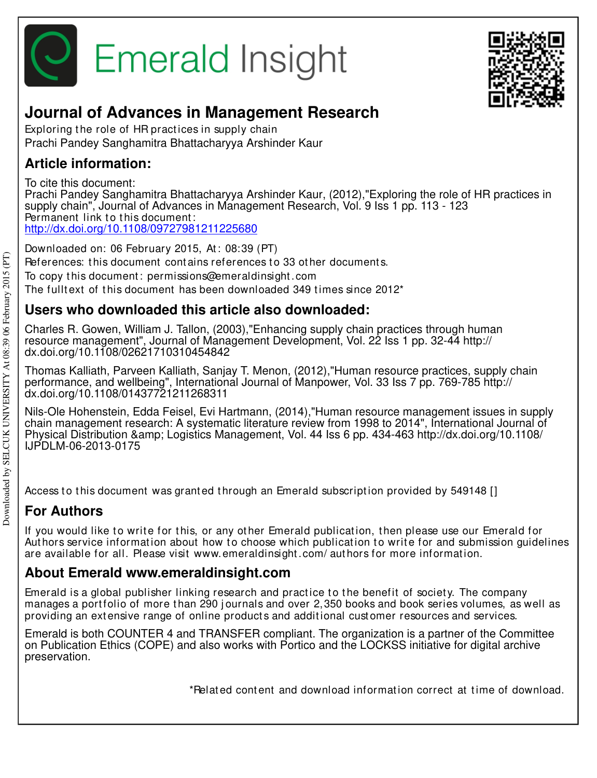



# **Journal of Advances in Management Research**

Exploring the role of HR practices in supply chain Prachi Pandey Sanghamitra Bhattacharyya Arshinder Kaur

## **Article information:**

To cite this document: Prachi Pandey Sanghamitra Bhattacharyya Arshinder Kaur, (2012),"Exploring the role of HR practices in supply chain", Journal of Advances in Management Research, Vol. 9 Iss 1 pp. 113 - 123 Permanent link to this document: http://dx.doi.org/10.1108/09727981211225680

Downloaded on: 06 February 2015, At : 08:39 (PT)

References: this document contains references to 33 other documents.

To copy t his document : permissions@emeraldinsight .com

The fulltext of this document has been downloaded  $349$  times since  $2012<sup>*</sup>$ 

### **Users who downloaded this article also downloaded:**

Charles R. Gowen, William J. Tallon, (2003),"Enhancing supply chain practices through human resource management", Journal of Management Development, Vol. 22 Iss 1 pp. 32-44 http:// dx.doi.org/10.1108/02621710310454842

Thomas Kalliath, Parveen Kalliath, Sanjay T. Menon, (2012),"Human resource practices, supply chain performance, and wellbeing", International Journal of Manpower, Vol. 33 Iss 7 pp. 769-785 http:// dx.doi.org/10.1108/01437721211268311

Nils-Ole Hohenstein, Edda Feisel, Evi Hartmann, (2014),"Human resource management issues in supply chain management research: A systematic literature review from 1998 to 2014", International Journal of Physical Distribution & amp; Logistics Management, Vol. 44 Iss 6 pp. 434-463 http://dx.doi.org/10.1108/ IJPDLM-06-2013-0175

Access to this document was granted through an Emerald subscription provided by 549148 []

# **For Authors**

If you would like to write for this, or any other Emerald publication, then please use our Emerald for Authors service information about how to choose which publication to write for and submission quidelines are available for all. Please visit www.emeraldinsight.com/ authors for more information.

### **About Emerald www.emeraldinsight.com**

Emerald is a global publisher linking research and practice to the benefit of society. The company manages a port folio of more t han 290 j ournals and over 2,350 books and book series volumes, as well as providing an extensive range of online products and additional customer resources and services.

Emerald is both COUNTER 4 and TRANSFER compliant. The organization is a partner of the Committee on Publication Ethics (COPE) and also works with Portico and the LOCKSS initiative for digital archive preservation.

\*Related content and download information correct at time of download.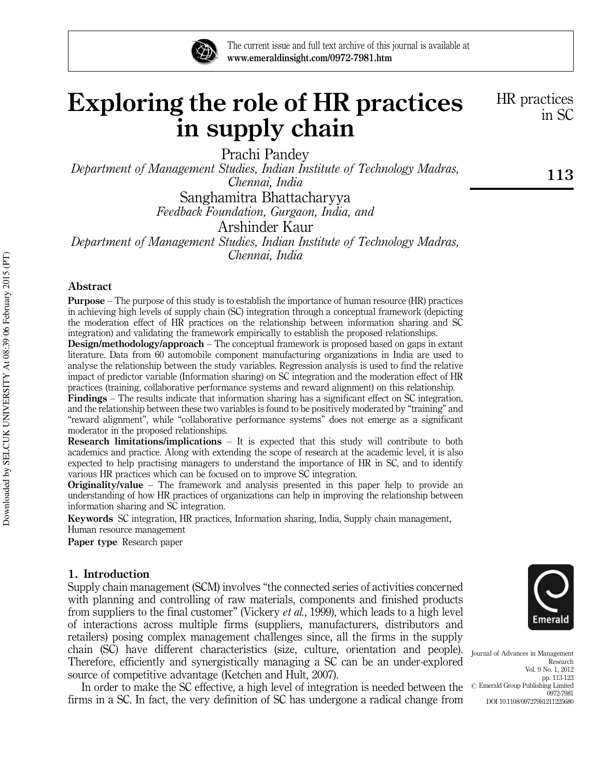

The current issue and full text archive of this journal is available at www.emeraldinsight.com/0972-7981.htm

# Exploring the role of HR practices in supply chain

Prachi Pandey

*Department of Management Studies, Indian Institute of Technology Madras, Chennai, India*

Sanghamitra Bhattacharyya *Feedback Foundation, Gurgaon, India, and*

Arshinder Kaur

*Department of Management Studies, Indian Institute of Technology Madras, Chennai, India*

#### Abstract

Purpose – The purpose of this study is to establish the importance of human resource (HR) practices in achieving high levels of supply chain (SC) integration through a conceptual framework (depicting the moderation effect of HR practices on the relationship between information sharing and SC integration) and validating the framework empirically to establish the proposed relationships.

Design/methodology/approach – The conceptual framework is proposed based on gaps in extant literature. Data from 60 automobile component manufacturing organizations in India are used to analyse the relationship between the study variables. Regression analysis is used to find the relative impact of predictor variable (Information sharing) on SC integration and the moderation effect of HR practices (training, collaborative performance systems and reward alignment) on this relationship.

Findings – The results indicate that information sharing has a significant effect on SC integration, and the relationship between these two variables is found to be positively moderated by "training" and "reward alignment", while "collaborative performance systems" does not emerge as a significant moderator in the proposed relationships.

**Research limitations/implications** – It is expected that this study will contribute to both academics and practice. Along with extending the scope of research at the academic level, it is also expected to help practising managers to understand the importance of HR in SC, and to identify various HR practices which can be focused on to improve SC integration.

Originality/value – The framework and analysis presented in this paper help to provide an understanding of how HR practices of organizations can help in improving the relationship between information sharing and SC integration.

Keywords SC integration, HR practices, Information sharing, India, Supply chain management, Human resource management

Paper type Research paper

#### 1. Introduction

Supply chain management (SCM) involves "the connected series of activities concerned with planning and controlling of raw materials, components and finished products from suppliers to the final customer" (Vickery *et al.*, 1999), which leads to a high level of interactions across multiple firms (suppliers, manufacturers, distributors and retailers) posing complex management challenges since, all the firms in the supply chain (SC) have different characteristics (size, culture, orientation and people). Therefore, efficiently and synergistically managing a SC can be an under-explored source of competitive advantage (Ketchen and Hult, 2007).

In order to make the SC effective, a high level of integration is needed between the firms in a SC. In fact, the very definition of SC has undergone a radical change from



Journal of Advances in Management Research Vol. 9 No. 1, 2012 pp. 113-123  $\oslash$  Emerald Group Publishing Limited 0972-7981 DOI 10.1108/09727981211225680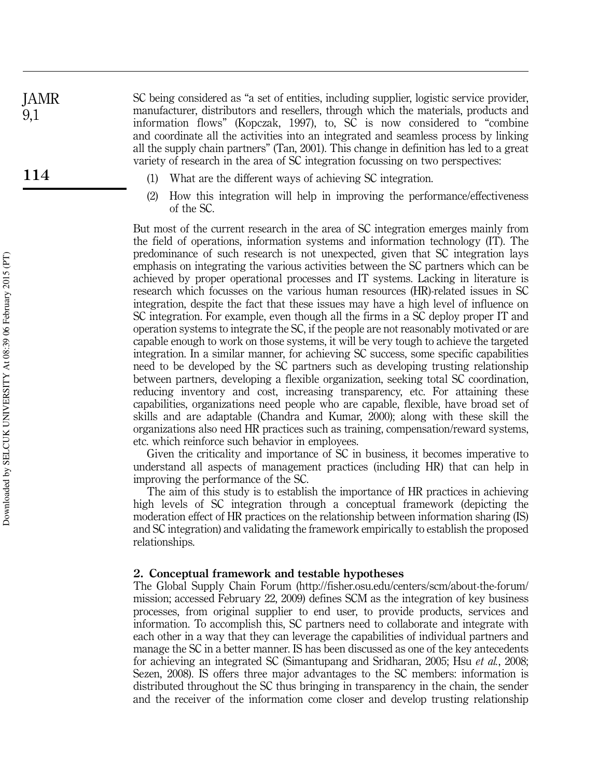SC being considered as "a set of entities, including supplier, logistic service provider, manufacturer, distributors and resellers, through which the materials, products and information flows" (Kopczak, 1997), to, SC is now considered to "combine and coordinate all the activities into an integrated and seamless process by linking all the supply chain partners" (Tan, 2001). This change in definition has led to a great variety of research in the area of SC integration focussing on two perspectives:

- (1) What are the different ways of achieving SC integration.
- (2) How this integration will help in improving the performance/effectiveness of the SC.

But most of the current research in the area of SC integration emerges mainly from the field of operations, information systems and information technology (IT). The predominance of such research is not unexpected, given that SC integration lays emphasis on integrating the various activities between the SC partners which can be achieved by proper operational processes and IT systems. Lacking in literature is research which focusses on the various human resources (HR)-related issues in SC integration, despite the fact that these issues may have a high level of influence on SC integration. For example, even though all the firms in a SC deploy proper IT and operation systems to integrate the SC, if the people are not reasonably motivated or are capable enough to work on those systems, it will be very tough to achieve the targeted integration. In a similar manner, for achieving SC success, some specific capabilities need to be developed by the SC partners such as developing trusting relationship between partners, developing a flexible organization, seeking total SC coordination, reducing inventory and cost, increasing transparency, etc. For attaining these capabilities, organizations need people who are capable, flexible, have broad set of skills and are adaptable (Chandra and Kumar, 2000); along with these skill the organizations also need HR practices such as training, compensation/reward systems, etc. which reinforce such behavior in employees.

Given the criticality and importance of SC in business, it becomes imperative to understand all aspects of management practices (including HR) that can help in improving the performance of the SC.

The aim of this study is to establish the importance of HR practices in achieving high levels of SC integration through a conceptual framework (depicting the moderation effect of HR practices on the relationship between information sharing (IS) and SC integration) and validating the framework empirically to establish the proposed relationships.

#### 2. Conceptual framework and testable hypotheses

The Global Supply Chain Forum (http://fisher.osu.edu/centers/scm/about-the-forum/ mission; accessed February 22, 2009) defines SCM as the integration of key business processes, from original supplier to end user, to provide products, services and information. To accomplish this, SC partners need to collaborate and integrate with each other in a way that they can leverage the capabilities of individual partners and manage the SC in a better manner. IS has been discussed as one of the key antecedents for achieving an integrated SC (Simantupang and Sridharan, 2005; Hsu *et al.*, 2008; Sezen, 2008). IS offers three major advantages to the SC members: information is distributed throughout the SC thus bringing in transparency in the chain, the sender and the receiver of the information come closer and develop trusting relationship

JAMR

114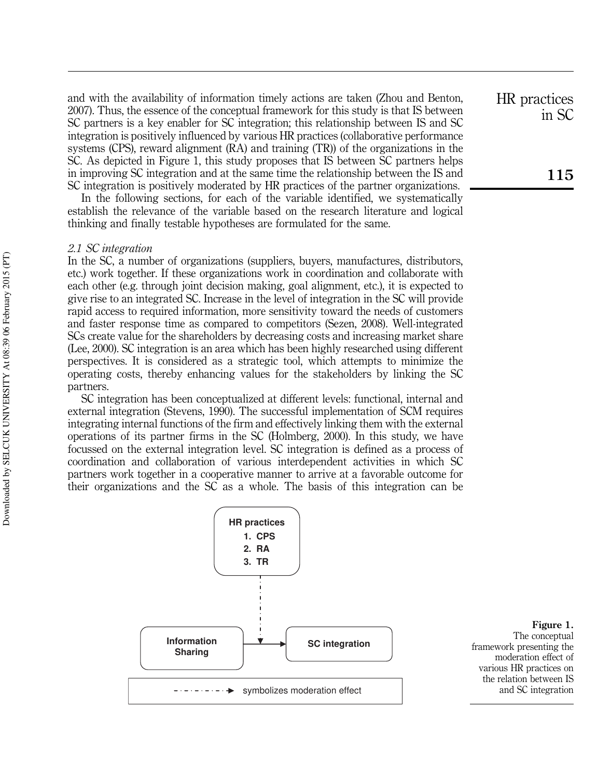and with the availability of information timely actions are taken (Zhou and Benton, 2007). Thus, the essence of the conceptual framework for this study is that IS between SC partners is a key enabler for SC integration; this relationship between IS and SC integration is positively influenced by various HR practices (collaborative performance systems (CPS), reward alignment (RA) and training (TR)) of the organizations in the SC. As depicted in Figure 1, this study proposes that IS between SC partners helps in improving SC integration and at the same time the relationship between the IS and SC integration is positively moderated by HR practices of the partner organizations.

In the following sections, for each of the variable identified, we systematically establish the relevance of the variable based on the research literature and logical thinking and finally testable hypotheses are formulated for the same.

#### *2.1 SC integration*

In the SC, a number of organizations (suppliers, buyers, manufactures, distributors, etc.) work together. If these organizations work in coordination and collaborate with each other (e.g. through joint decision making, goal alignment, etc.), it is expected to give rise to an integrated SC. Increase in the level of integration in the SC will provide rapid access to required information, more sensitivity toward the needs of customers and faster response time as compared to competitors (Sezen, 2008). Well-integrated SCs create value for the shareholders by decreasing costs and increasing market share (Lee, 2000). SC integration is an area which has been highly researched using different perspectives. It is considered as a strategic tool, which attempts to minimize the operating costs, thereby enhancing values for the stakeholders by linking the SC partners.

SC integration has been conceptualized at different levels: functional, internal and external integration (Stevens, 1990). The successful implementation of SCM requires integrating internal functions of the firm and effectively linking them with the external operations of its partner firms in the SC (Holmberg, 2000). In this study, we have focussed on the external integration level. SC integration is defined as a process of coordination and collaboration of various interdependent activities in which SC partners work together in a cooperative manner to arrive at a favorable outcome for their organizations and the SC as a whole. The basis of this integration can be



Figure 1. The conceptual framework presenting the moderation effect of various HR practices on the relation between IS and SC integration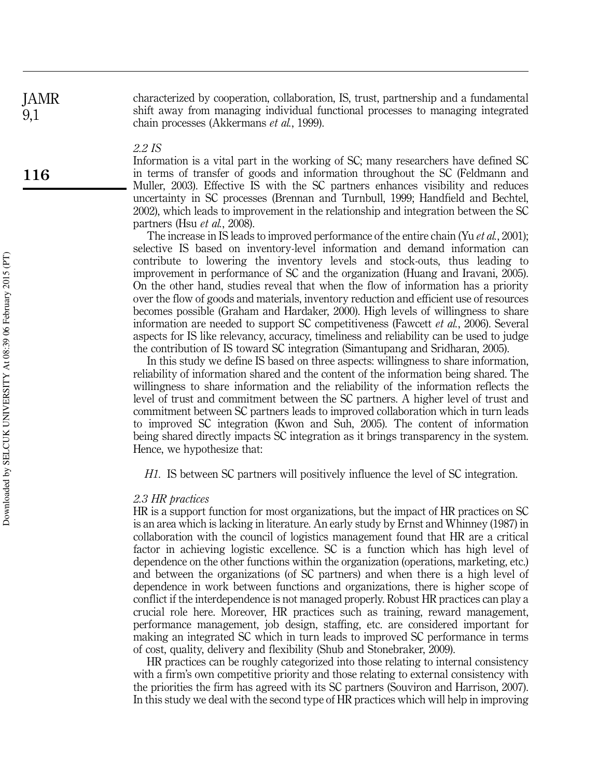characterized by cooperation, collaboration, IS, trust, partnership and a fundamental shift away from managing individual functional processes to managing integrated chain processes (Akkermans *et al.*, 1999).

#### *2.2 IS*

Information is a vital part in the working of SC; many researchers have defined SC in terms of transfer of goods and information throughout the SC (Feldmann and Muller, 2003). Effective IS with the SC partners enhances visibility and reduces uncertainty in SC processes (Brennan and Turnbull, 1999; Handfield and Bechtel, 2002), which leads to improvement in the relationship and integration between the SC partners (Hsu *et al.*, 2008).

The increase in IS leads to improved performance of the entire chain (Yu *et al.*, 2001); selective IS based on inventory-level information and demand information can contribute to lowering the inventory levels and stock-outs, thus leading to improvement in performance of SC and the organization (Huang and Iravani, 2005). On the other hand, studies reveal that when the flow of information has a priority over the flow of goods and materials, inventory reduction and efficient use of resources becomes possible (Graham and Hardaker, 2000). High levels of willingness to share information are needed to support SC competitiveness (Fawcett *et al.*, 2006). Several aspects for IS like relevancy, accuracy, timeliness and reliability can be used to judge the contribution of IS toward SC integration (Simantupang and Sridharan, 2005).

In this study we define IS based on three aspects: willingness to share information, reliability of information shared and the content of the information being shared. The willingness to share information and the reliability of the information reflects the level of trust and commitment between the SC partners. A higher level of trust and commitment between SC partners leads to improved collaboration which in turn leads to improved SC integration (Kwon and Suh, 2005). The content of information being shared directly impacts SC integration as it brings transparency in the system. Hence, we hypothesize that:

*H1.* IS between SC partners will positively influence the level of SC integration.

#### *2.3 HR practices*

HR is a support function for most organizations, but the impact of HR practices on SC is an area which is lacking in literature. An early study by Ernst and Whinney (1987) in collaboration with the council of logistics management found that HR are a critical factor in achieving logistic excellence. SC is a function which has high level of dependence on the other functions within the organization (operations, marketing, etc.) and between the organizations (of SC partners) and when there is a high level of dependence in work between functions and organizations, there is higher scope of conflict if the interdependence is not managed properly. Robust HR practices can play a crucial role here. Moreover, HR practices such as training, reward management, performance management, job design, staffing, etc. are considered important for making an integrated SC which in turn leads to improved SC performance in terms of cost, quality, delivery and flexibility (Shub and Stonebraker, 2009).

HR practices can be roughly categorized into those relating to internal consistency with a firm's own competitive priority and those relating to external consistency with the priorities the firm has agreed with its SC partners (Souviron and Harrison, 2007). In this study we deal with the second type of HR practices which will help in improving

116

JAMR 9,1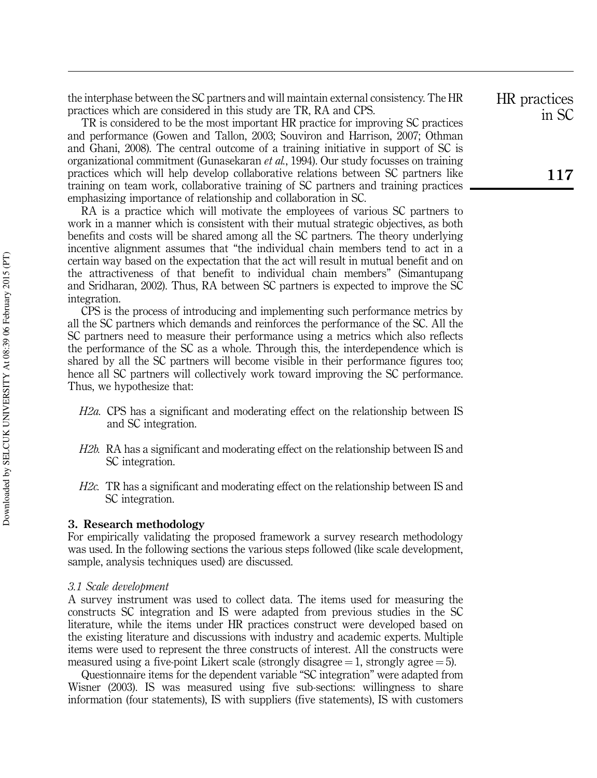the interphase between the SC partners and will maintain external consistency. The HR practices which are considered in this study are TR, RA and CPS.

TR is considered to be the most important HR practice for improving SC practices and performance (Gowen and Tallon, 2003; Souviron and Harrison, 2007; Othman and Ghani, 2008). The central outcome of a training initiative in support of SC is organizational commitment (Gunasekaran *et al.*, 1994). Our study focusses on training practices which will help develop collaborative relations between SC partners like training on team work, collaborative training of SC partners and training practices emphasizing importance of relationship and collaboration in SC.

RA is a practice which will motivate the employees of various SC partners to work in a manner which is consistent with their mutual strategic objectives, as both benefits and costs will be shared among all the SC partners. The theory underlying incentive alignment assumes that "the individual chain members tend to act in a certain way based on the expectation that the act will result in mutual benefit and on the attractiveness of that benefit to individual chain members" (Simantupang and Sridharan, 2002). Thus, RA between SC partners is expected to improve the SC integration.

CPS is the process of introducing and implementing such performance metrics by all the SC partners which demands and reinforces the performance of the SC. All the SC partners need to measure their performance using a metrics which also reflects the performance of the SC as a whole. Through this, the interdependence which is shared by all the SC partners will become visible in their performance figures too; hence all SC partners will collectively work toward improving the SC performance. Thus, we hypothesize that:

- *H2a.* CPS has a significant and moderating effect on the relationship between IS and SC integration.
- *H2b.* RA has a significant and moderating effect on the relationship between IS and SC integration.
- *H2c.* TR has a significant and moderating effect on the relationship between IS and SC integration.

#### 3. Research methodology

For empirically validating the proposed framework a survey research methodology was used. In the following sections the various steps followed (like scale development, sample, analysis techniques used) are discussed.

#### *3.1 Scale development*

A survey instrument was used to collect data. The items used for measuring the constructs SC integration and IS were adapted from previous studies in the SC literature, while the items under HR practices construct were developed based on the existing literature and discussions with industry and academic experts. Multiple items were used to represent the three constructs of interest. All the constructs were measured using a five-point Likert scale (strongly disagree  $=$  1, strongly agree  $=$  5).

Questionnaire items for the dependent variable "SC integration" were adapted from Wisner (2003). IS was measured using five sub-sections: willingness to share information (four statements), IS with suppliers (five statements), IS with customers HR practices in SC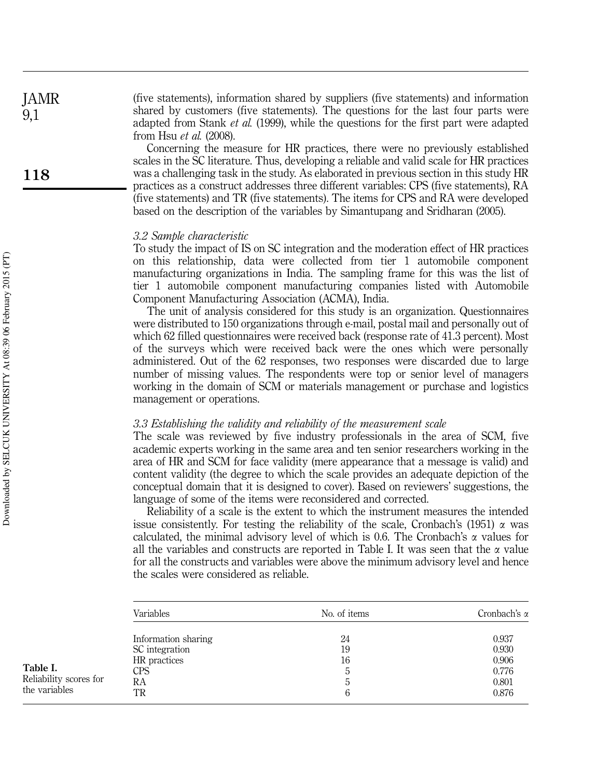(five statements), information shared by suppliers (five statements) and information shared by customers (five statements). The questions for the last four parts were adapted from Stank *et al.* (1999), while the questions for the first part were adapted from Hsu *et al.* (2008). JAMR

Concerning the measure for HR practices, there were no previously established scales in the SC literature. Thus, developing a reliable and valid scale for HR practices was a challenging task in the study. As elaborated in previous section in this study HR practices as a construct addresses three different variables: CPS (five statements), RA (five statements) and TR (five statements). The items for CPS and RA were developed based on the description of the variables by Simantupang and Sridharan (2005).

#### *3.2 Sample characteristic*

To study the impact of IS on SC integration and the moderation effect of HR practices on this relationship, data were collected from tier 1 automobile component manufacturing organizations in India. The sampling frame for this was the list of tier 1 automobile component manufacturing companies listed with Automobile Component Manufacturing Association (ACMA), India.

The unit of analysis considered for this study is an organization. Questionnaires were distributed to 150 organizations through e-mail, postal mail and personally out of which 62 filled questionnaires were received back (response rate of 41.3 percent). Most of the surveys which were received back were the ones which were personally administered. Out of the 62 responses, two responses were discarded due to large number of missing values. The respondents were top or senior level of managers working in the domain of SCM or materials management or purchase and logistics management or operations.

#### *3.3 Establishing the validity and reliability of the measurement scale*

The scale was reviewed by five industry professionals in the area of SCM, five academic experts working in the same area and ten senior researchers working in the area of HR and SCM for face validity (mere appearance that a message is valid) and content validity (the degree to which the scale provides an adequate depiction of the conceptual domain that it is designed to cover). Based on reviewers' suggestions, the language of some of the items were reconsidered and corrected.

Reliability of a scale is the extent to which the instrument measures the intended issue consistently. For testing the reliability of the scale, Cronbach's (1951)  $\alpha$  was calculated, the minimal advisory level of which is 0.6. The Cronbach's  $\alpha$  values for all the variables and constructs are reported in Table I. It was seen that the  $\alpha$  value for all the constructs and variables were above the minimum advisory level and hence the scales were considered as reliable.

|                                                     | Variables           | No. of items | Cronbach's $\alpha$ |
|-----------------------------------------------------|---------------------|--------------|---------------------|
|                                                     | Information sharing | 24           | 0.937               |
|                                                     | SC integration      | 19           | 0.930               |
| Table I.<br>Reliability scores for<br>the variables | HR practices        | 16           | 0.906               |
|                                                     | CPS                 | 5            | 0.776               |
|                                                     | RA                  | 5            | 0.801               |
|                                                     | TR                  | 6            | 0.876               |

118

9,1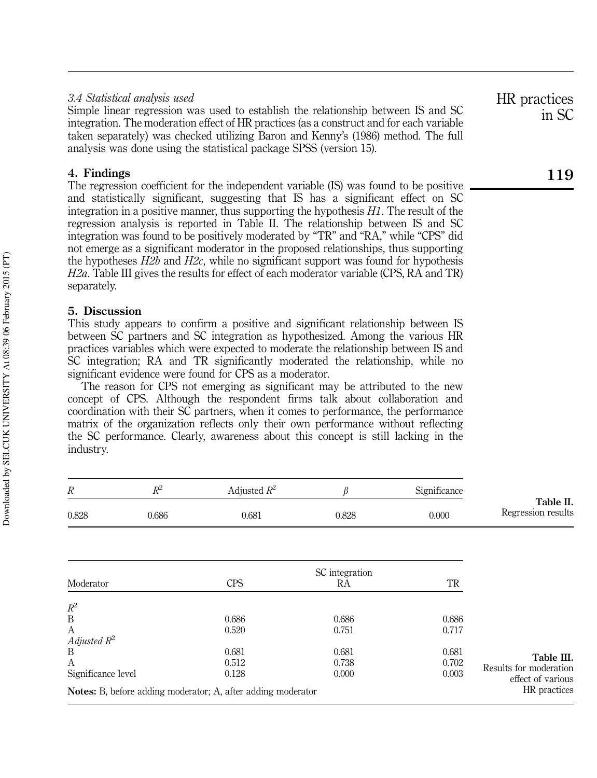#### *3.4 Statistical analysis used*

Simple linear regression was used to establish the relationship between IS and SC integration. The moderation effect of HR practices (as a construct and for each variable taken separately) was checked utilizing Baron and Kenny's (1986) method. The full analysis was done using the statistical package SPSS (version 15).

#### 4. Findings

The regression coefficient for the independent variable (IS) was found to be positive and statistically significant, suggesting that IS has a significant effect on SC integration in a positive manner, thus supporting the hypothesis *H1*. The result of the regression analysis is reported in Table II. The relationship between IS and SC integration was found to be positively moderated by "TR" and "RA," while "CPS" did not emerge as a significant moderator in the proposed relationships, thus supporting the hypotheses *H2b* and *H2c*, while no significant support was found for hypothesis *H2a*. Table III gives the results for effect of each moderator variable (CPS, RA and TR) separately.

#### 5. Discussion

This study appears to confirm a positive and significant relationship between IS between SC partners and SC integration as hypothesized. Among the various HR practices variables which were expected to moderate the relationship between IS and SC integration; RA and TR significantly moderated the relationship, while no significant evidence were found for CPS as a moderator.

The reason for CPS not emerging as significant may be attributed to the new concept of CPS. Although the respondent firms talk about collaboration and coordination with their SC partners, when it comes to performance, the performance matrix of the organization reflects only their own performance without reflecting the SC performance. Clearly, awareness about this concept is still lacking in the industry.

| $R^2$<br>$\boldsymbol{R}$<br>0.686<br>0.828            | Adjusted $R^2$                                                        | 0.828                            | Significance<br>0.000            | Table II.<br>Regression results                             |  |
|--------------------------------------------------------|-----------------------------------------------------------------------|----------------------------------|----------------------------------|-------------------------------------------------------------|--|
|                                                        | 0.681                                                                 |                                  |                                  |                                                             |  |
|                                                        |                                                                       |                                  |                                  |                                                             |  |
| Moderator                                              | <b>CPS</b>                                                            | SC integration<br>RA             | TR                               |                                                             |  |
| $R^2$<br>$\, {\bf B}$<br>А<br>Adjusted $R^2$<br>B<br>А | 0.686<br>0.520<br>0.681<br>0.512                                      | 0.686<br>0.751<br>0.681<br>0.738 | 0.686<br>0.717<br>0.681<br>0.702 | Table III.                                                  |  |
| Significance level                                     | 0.128<br>Notes: B, before adding moderator; A, after adding moderator | 0.000                            | 0.003                            | Results for moderation<br>effect of various<br>HR practices |  |

HR practices in SC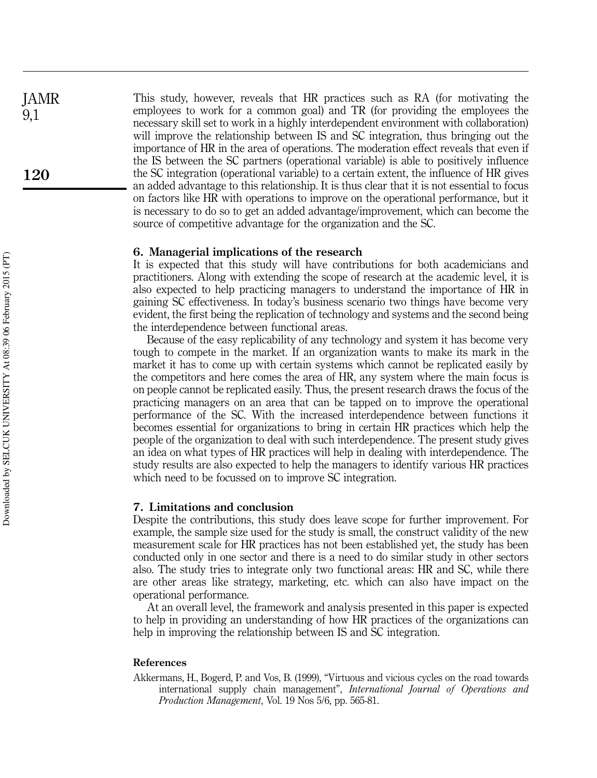This study, however, reveals that HR practices such as RA (for motivating the employees to work for a common goal) and TR (for providing the employees the necessary skill set to work in a highly interdependent environment with collaboration) will improve the relationship between IS and SC integration, thus bringing out the importance of HR in the area of operations. The moderation effect reveals that even if the IS between the SC partners (operational variable) is able to positively influence the SC integration (operational variable) to a certain extent, the influence of HR gives an added advantage to this relationship. It is thus clear that it is not essential to focus on factors like HR with operations to improve on the operational performance, but it is necessary to do so to get an added advantage/improvement, which can become the source of competitive advantage for the organization and the SC.

#### 6. Managerial implications of the research

It is expected that this study will have contributions for both academicians and practitioners. Along with extending the scope of research at the academic level, it is also expected to help practicing managers to understand the importance of HR in gaining SC effectiveness. In today's business scenario two things have become very evident, the first being the replication of technology and systems and the second being the interdependence between functional areas.

Because of the easy replicability of any technology and system it has become very tough to compete in the market. If an organization wants to make its mark in the market it has to come up with certain systems which cannot be replicated easily by the competitors and here comes the area of HR, any system where the main focus is on people cannot be replicated easily. Thus, the present research draws the focus of the practicing managers on an area that can be tapped on to improve the operational performance of the SC. With the increased interdependence between functions it becomes essential for organizations to bring in certain HR practices which help the people of the organization to deal with such interdependence. The present study gives an idea on what types of HR practices will help in dealing with interdependence. The study results are also expected to help the managers to identify various HR practices which need to be focussed on to improve SC integration.

#### 7. Limitations and conclusion

Despite the contributions, this study does leave scope for further improvement. For example, the sample size used for the study is small, the construct validity of the new measurement scale for HR practices has not been established yet, the study has been conducted only in one sector and there is a need to do similar study in other sectors also. The study tries to integrate only two functional areas: HR and SC, while there are other areas like strategy, marketing, etc. which can also have impact on the operational performance.

At an overall level, the framework and analysis presented in this paper is expected to help in providing an understanding of how HR practices of the organizations can help in improving the relationship between IS and SC integration.

#### References

Akkermans, H., Bogerd, P. and Vos, B. (1999), "Virtuous and vicious cycles on the road towards international supply chain management", *International Journal of Operations and Production Management*, Vol. 19 Nos 5/6, pp. 565-81.

120

JAMR 9,1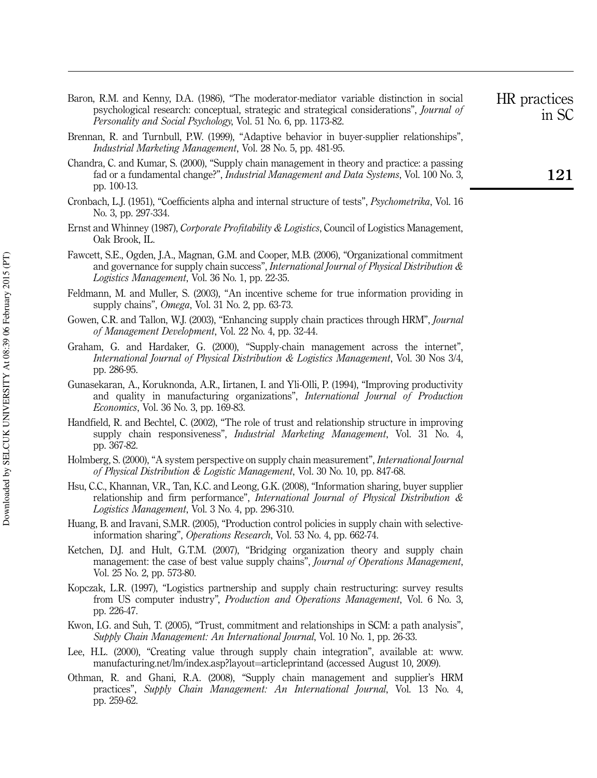- Baron, R.M. and Kenny, D.A. (1986), "The moderator-mediator variable distinction in social psychological research: conceptual, strategic and strategical considerations", *Journal of Personality and Social Psychology*, Vol. 51 No. 6, pp. 1173-82.
- Brennan, R. and Turnbull, P.W. (1999), "Adaptive behavior in buyer-supplier relationships", *Industrial Marketing Management*, Vol. 28 No. 5, pp. 481-95.
- Chandra, C. and Kumar, S. (2000), "Supply chain management in theory and practice: a passing fad or a fundamental change?", *Industrial Management and Data Systems*, Vol. 100 No. 3, pp. 100-13.
- Cronbach, L.J. (1951), "Coefficients alpha and internal structure of tests", *Psychometrika*, Vol. 16 No. 3, pp. 297-334.
- Ernst and Whinney (1987), *Corporate Profitability & Logistics*, Council of Logistics Management, Oak Brook, IL.
- Fawcett, S.E., Ogden, J.A., Magnan, G.M. and Cooper, M.B. (2006), "Organizational commitment and governance for supply chain success", *International Journal of Physical Distribution & Logistics Management*, Vol. 36 No. 1, pp. 22-35.
- Feldmann, M. and Muller, S. (2003), "An incentive scheme for true information providing in supply chains", *Omega*, Vol. 31 No. 2, pp. 63-73.
- Gowen, C.R. and Tallon, W.J. (2003), "Enhancing supply chain practices through HRM", *Journal of Management Development*, Vol. 22 No. 4, pp. 32-44.
- Graham, G. and Hardaker, G. (2000), "Supply-chain management across the internet", *International Journal of Physical Distribution & Logistics Management*, Vol. 30 Nos 3/4, pp. 286-95.
- Gunasekaran, A., Koruknonda, A.R., Iirtanen, I. and Yli-Olli, P. (1994), "Improving productivity and quality in manufacturing organizations", *International Journal of Production Economics*, Vol. 36 No. 3, pp. 169-83.
- Handfield, R. and Bechtel, C. (2002), "The role of trust and relationship structure in improving supply chain responsiveness", *Industrial Marketing Management*, Vol. 31 No. 4, pp. 367-82.
- Holmberg, S. (2000), "A system perspective on supply chain measurement", *International Journal of Physical Distribution & Logistic Management*, Vol. 30 No. 10, pp. 847-68.
- Hsu, C.C., Khannan, V.R., Tan, K.C. and Leong, G.K. (2008), "Information sharing, buyer supplier relationship and firm performance", *International Journal of Physical Distribution & Logistics Management*, Vol. 3 No. 4, pp. 296-310.
- Huang, B. and Iravani, S.M.R. (2005), "Production control policies in supply chain with selectiveinformation sharing", *Operations Research*, Vol. 53 No. 4, pp. 662-74.
- Ketchen, D.J. and Hult, G.T.M. (2007), "Bridging organization theory and supply chain management: the case of best value supply chains", *Journal of Operations Management*, Vol. 25 No. 2, pp. 573-80.
- Kopczak, L.R. (1997), "Logistics partnership and supply chain restructuring: survey results from US computer industry", *Production and Operations Management*, Vol. 6 No. 3, pp. 226-47.
- Kwon, I.G. and Suh, T. (2005), "Trust, commitment and relationships in SCM: a path analysis", *Supply Chain Management: An International Journal*, Vol. 10 No. 1, pp. 26-33.
- Lee, H.L. (2000), "Creating value through supply chain integration", available at: www. manufacturing.net/lm/index.asp?layout=articleprintand (accessed August 10, 2009).
- Othman, R. and Ghani, R.A. (2008), "Supply chain management and supplier's HRM practices", *Supply Chain Management: An International Journal*, Vol. 13 No. 4, pp. 259-62.

121

in SC

HR practices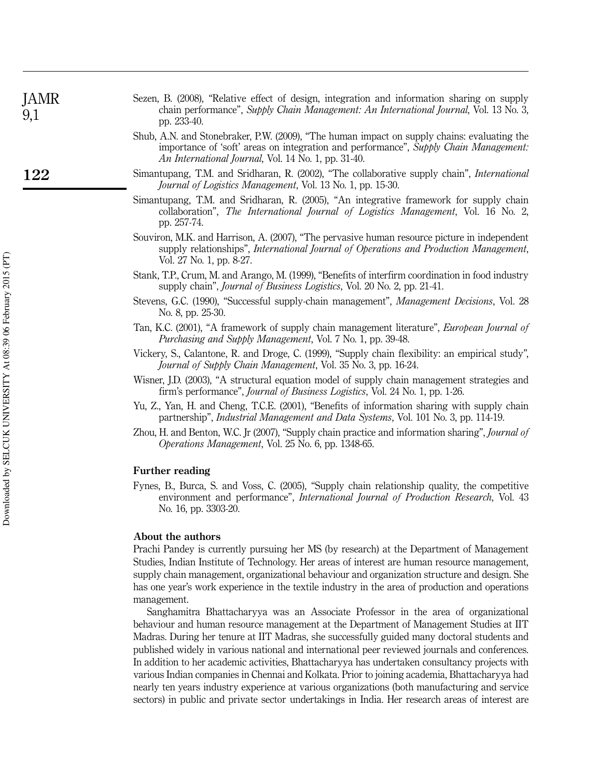| JAMR<br>9,1 | Sezen, B. (2008), "Relative effect of design, integration and information sharing on supply<br>chain performance", Supply Chain Management: An International Journal, Vol. 13 No. 3,<br>pp. 233-40.                                               |  |  |  |
|-------------|---------------------------------------------------------------------------------------------------------------------------------------------------------------------------------------------------------------------------------------------------|--|--|--|
|             | Shub, A.N. and Stonebraker, P.W. (2009), "The human impact on supply chains: evaluating the<br>importance of 'soft' areas on integration and performance", Supply Chain Management:<br><i>An International Journal, Vol. 14 No. 1, pp. 31-40.</i> |  |  |  |
| 122         | Simantupang, T.M. and Sridharan, R. (2002), "The collaborative supply chain", <i>International</i><br>Journal of Logistics Management, Vol. 13 No. 1, pp. 15-30.                                                                                  |  |  |  |
|             | Simantupang, T.M. and Sridharan, R. (2005), "An integrative framework for supply chain<br>collaboration", The International Journal of Logistics Management, Vol. 16 No. 2,<br>pp. 257-74.                                                        |  |  |  |
|             | Souviron, M.K. and Harrison, A. (2007), "The pervasive human resource picture in independent<br>supply relationships", International Journal of Operations and Production Management,<br>Vol. 27 No. 1, pp. 8-27.                                 |  |  |  |
|             | Stank, T.P., Crum, M. and Arango, M. (1999), "Benefits of interfirm coordination in food industry<br>supply chain", <i>Journal of Business Logistics</i> , Vol. 20 No. 2, pp. 21-41.                                                              |  |  |  |
|             | Stevens, G.C. (1990), "Successful supply-chain management", <i>Management Decisions</i> , Vol. 28<br>No. 8, pp. 25-30.                                                                                                                            |  |  |  |
|             | Tan, K.C. (2001), "A framework of supply chain management literature", <i>European Journal of</i><br><i>Purchasing and Supply Management, Vol. 7 No. 1, pp. 39-48.</i>                                                                            |  |  |  |
|             | Vickery, S., Calantone, R. and Droge, C. (1999), "Supply chain flexibility: an empirical study",<br><i>Journal of Supply Chain Management, Vol. 35 No. 3, pp. 16-24.</i>                                                                          |  |  |  |
|             | Wisner, J.D. (2003), "A structural equation model of supply chain management strategies and<br>firm's performance", <i>Journal of Business Logistics</i> , Vol. 24 No. 1, pp. 1-26.                                                               |  |  |  |
|             | Yu, Z., Yan, H. and Cheng, T.C.E. (2001), "Benefits of information sharing with supply chain<br>partnership", <i>Industrial Management and Data Systems</i> , Vol. 101 No. 3, pp. 114-19.                                                         |  |  |  |
|             | Zhou, H. and Benton, W.C. Jr (2007), "Supply chain practice and information sharing", <i>Journal of</i><br><i>Operations Management, Vol. 25 No. 6, pp. 1348-65.</i>                                                                              |  |  |  |
|             | <b>Further reading</b>                                                                                                                                                                                                                            |  |  |  |
|             | Fynes, B., Burca, S. and Voss, C. (2005), "Supply chain relationship quality, the competitive                                                                                                                                                     |  |  |  |

#### About the authors

No. 16, pp. 3303-20.

Prachi Pandey is currently pursuing her MS (by research) at the Department of Management Studies, Indian Institute of Technology. Her areas of interest are human resource management, supply chain management, organizational behaviour and organization structure and design. She has one year's work experience in the textile industry in the area of production and operations management.

environment and performance", *International Journal of Production Research*, Vol. 43

Sanghamitra Bhattacharyya was an Associate Professor in the area of organizational behaviour and human resource management at the Department of Management Studies at IIT Madras. During her tenure at IIT Madras, she successfully guided many doctoral students and published widely in various national and international peer reviewed journals and conferences. In addition to her academic activities, Bhattacharyya has undertaken consultancy projects with various Indian companies in Chennai and Kolkata. Prior to joining academia, Bhattacharyya had nearly ten years industry experience at various organizations (both manufacturing and service sectors) in public and private sector undertakings in India. Her research areas of interest are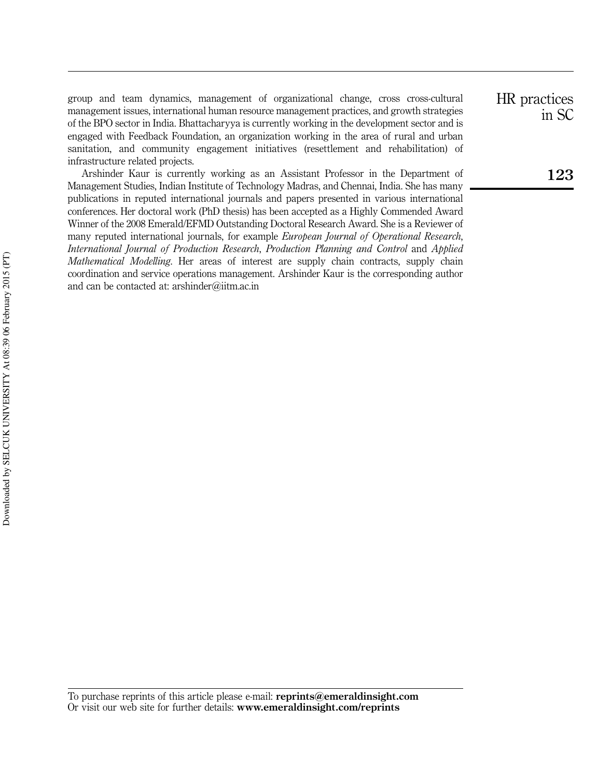group and team dynamics, management of organizational change, cross cross-cultural management issues, international human resource management practices, and growth strategies of the BPO sector in India. Bhattacharyya is currently working in the development sector and is engaged with Feedback Foundation, an organization working in the area of rural and urban sanitation, and community engagement initiatives (resettlement and rehabilitation) of infrastructure related projects.

Arshinder Kaur is currently working as an Assistant Professor in the Department of Management Studies, Indian Institute of Technology Madras, and Chennai, India. She has many publications in reputed international journals and papers presented in various international conferences. Her doctoral work (PhD thesis) has been accepted as a Highly Commended Award Winner of the 2008 Emerald/EFMD Outstanding Doctoral Research Award. She is a Reviewer of many reputed international journals, for example *European Journal of Operational Research*, *International Journal of Production Research*, *Production Planning and Control* and *Applied Mathematical Modelling*. Her areas of interest are supply chain contracts, supply chain coordination and service operations management. Arshinder Kaur is the corresponding author and can be contacted at: arshinder@iitm.ac.in

To purchase reprints of this article please e-mail: reprints@emeraldinsight.com Or visit our web site for further details: www.emeraldinsight.com/reprints